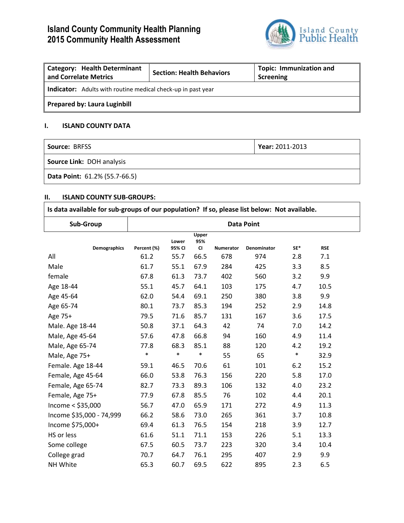# **Island County Community Health Planning 2015 Community Health Assessment**



| <b>Category: Health Determinant</b><br>and Correlate Metrics        | <b>Section: Health Behaviors</b> | <b>Topic: Immunization and</b><br>Screening |  |  |  |  |
|---------------------------------------------------------------------|----------------------------------|---------------------------------------------|--|--|--|--|
| <b>Indicator:</b> Adults with routine medical check-up in past year |                                  |                                             |  |  |  |  |
| <b>Prepared by: Laura Luginbill</b>                                 |                                  |                                             |  |  |  |  |

## **I. ISLAND COUNTY DATA**

| <b>Source: BRFSS</b>             | Year: 2011-2013 |
|----------------------------------|-----------------|
| <b>Source Link: DOH analysis</b> |                 |
| Data Point: 61.2% (55.7-66.5)    |                 |

## **II. ISLAND COUNTY SUB-GROUPS:**

| Is data available for sub-groups of our population? If so, please list below: Not available. |                   |                 |                           |           |                    |        |            |  |
|----------------------------------------------------------------------------------------------|-------------------|-----------------|---------------------------|-----------|--------------------|--------|------------|--|
| Sub-Group                                                                                    | <b>Data Point</b> |                 |                           |           |                    |        |            |  |
| <b>Demographics</b>                                                                          | Percent (%)       | Lower<br>95% CI | Upper<br>95%<br><b>CI</b> | Numerator | <b>Denominator</b> | SE*    | <b>RSE</b> |  |
| All                                                                                          | 61.2              | 55.7            | 66.5                      | 678       | 974                | 2.8    | 7.1        |  |
| Male                                                                                         | 61.7              | 55.1            | 67.9                      | 284       | 425                | 3.3    | 8.5        |  |
| female                                                                                       | 67.8              | 61.3            | 73.7                      | 402       | 560                | 3.2    | 9.9        |  |
| Age 18-44                                                                                    | 55.1              | 45.7            | 64.1                      | 103       | 175                | 4.7    | 10.5       |  |
| Age 45-64                                                                                    | 62.0              | 54.4            | 69.1                      | 250       | 380                | 3.8    | 9.9        |  |
| Age 65-74                                                                                    | 80.1              | 73.7            | 85.3                      | 194       | 252                | 2.9    | 14.8       |  |
| Age 75+                                                                                      | 79.5              | 71.6            | 85.7                      | 131       | 167                | 3.6    | 17.5       |  |
| Male. Age 18-44                                                                              | 50.8              | 37.1            | 64.3                      | 42        | 74                 | 7.0    | 14.2       |  |
| Male, Age 45-64                                                                              | 57.6              | 47.8            | 66.8                      | 94        | 160                | 4.9    | 11.4       |  |
| Male, Age 65-74                                                                              | 77.8              | 68.3            | 85.1                      | 88        | 120                | 4.2    | 19.2       |  |
| Male, Age 75+                                                                                | $\ast$            | $\ast$          | $\ast$                    | 55        | 65                 | $\ast$ | 32.9       |  |
| Female. Age 18-44                                                                            | 59.1              | 46.5            | 70.6                      | 61        | 101                | 6.2    | 15.2       |  |
| Female, Age 45-64                                                                            | 66.0              | 53.8            | 76.3                      | 156       | 220                | 5.8    | 17.0       |  |
| Female, Age 65-74                                                                            | 82.7              | 73.3            | 89.3                      | 106       | 132                | 4.0    | 23.2       |  |
| Female, Age 75+                                                                              | 77.9              | 67.8            | 85.5                      | 76        | 102                | 4.4    | 20.1       |  |
| Income $<$ \$35,000                                                                          | 56.7              | 47.0            | 65.9                      | 171       | 272                | 4.9    | 11.3       |  |
| Income \$35,000 - 74,999                                                                     | 66.2              | 58.6            | 73.0                      | 265       | 361                | 3.7    | 10.8       |  |
| Income \$75,000+                                                                             | 69.4              | 61.3            | 76.5                      | 154       | 218                | 3.9    | 12.7       |  |
| HS or less                                                                                   | 61.6              | 51.1            | 71.1                      | 153       | 226                | 5.1    | 13.3       |  |
| Some college                                                                                 | 67.5              | 60.5            | 73.7                      | 223       | 320                | 3.4    | 10.4       |  |
| College grad                                                                                 | 70.7              | 64.7            | 76.1                      | 295       | 407                | 2.9    | 9.9        |  |
| NH White                                                                                     | 65.3              | 60.7            | 69.5                      | 622       | 895                | 2.3    | 6.5        |  |